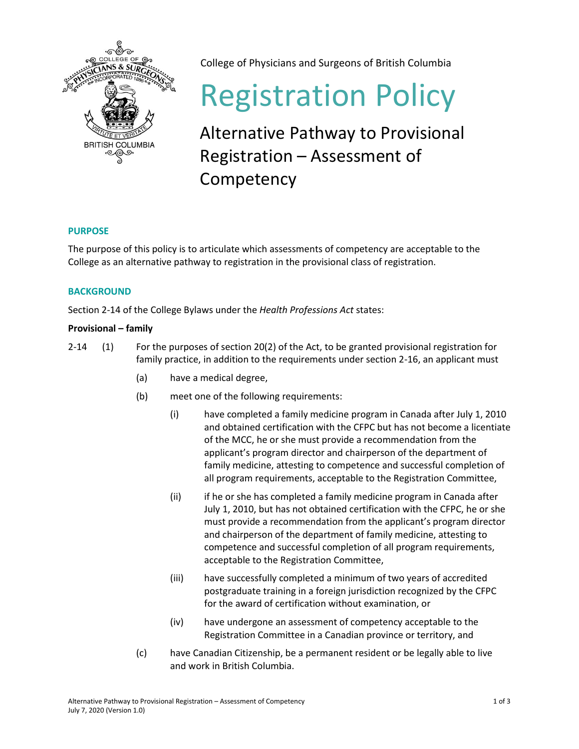

College of Physicians and Surgeons of British Columbia

# Registration Policy

Alternative Pathway to Provisional Registration – Assessment of **Competency** 

# **PURPOSE**

The purpose of this policy is to articulate which assessments of competency are acceptable to the College as an alternative pathway to registration in the provisional class of registration.

# **BACKGROUND**

Section 2-14 of the College Bylaws under the *Health Professions Act* states:

# **Provisional – family**

- 2-14 (1) For the purposes of section 20(2) of the Act, to be granted provisional registration for family practice, in addition to the requirements under section 2-16, an applicant must
	- (a) have a medical degree,
	- (b) meet one of the following requirements:
		- (i) have completed a family medicine program in Canada after July 1, 2010 and obtained certification with the CFPC but has not become a licentiate of the MCC, he or she must provide a recommendation from the applicant's program director and chairperson of the department of family medicine, attesting to competence and successful completion of all program requirements, acceptable to the Registration Committee,
		- (ii) if he or she has completed a family medicine program in Canada after July 1, 2010, but has not obtained certification with the CFPC, he or she must provide a recommendation from the applicant's program director and chairperson of the department of family medicine, attesting to competence and successful completion of all program requirements, acceptable to the Registration Committee,
		- (iii) have successfully completed a minimum of two years of accredited postgraduate training in a foreign jurisdiction recognized by the CFPC for the award of certification without examination, or
		- (iv) have undergone an assessment of competency acceptable to the Registration Committee in a Canadian province or territory, and
	- (c) have Canadian Citizenship, be a permanent resident or be legally able to live and work in British Columbia.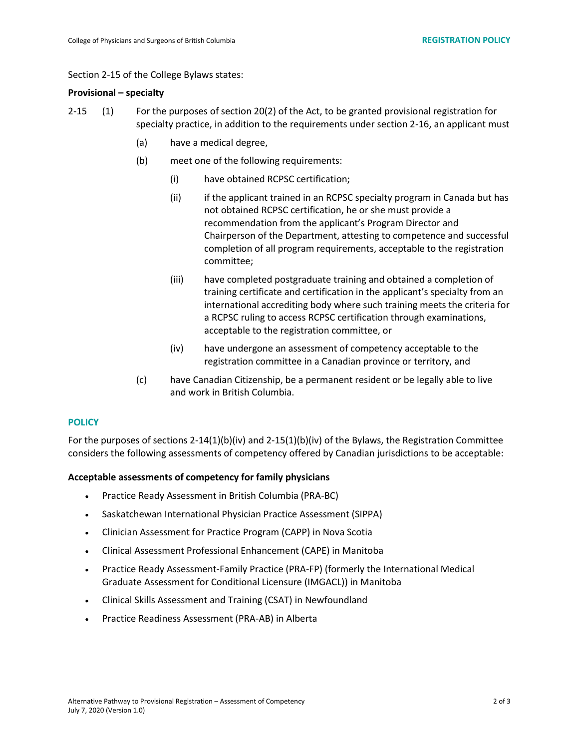#### Section 2-15 of the College Bylaws states:

#### **Provisional – specialty**

- 2-15 (1) For the purposes of section 20(2) of the Act, to be granted provisional registration for specialty practice, in addition to the requirements under section 2-16, an applicant must
	- (a) have a medical degree,
	- (b) meet one of the following requirements:
		- (i) have obtained RCPSC certification;
		- (ii) if the applicant trained in an RCPSC specialty program in Canada but has not obtained RCPSC certification, he or she must provide a recommendation from the applicant's Program Director and Chairperson of the Department, attesting to competence and successful completion of all program requirements, acceptable to the registration committee;
		- (iii) have completed postgraduate training and obtained a completion of training certificate and certification in the applicant's specialty from an international accrediting body where such training meets the criteria for a RCPSC ruling to access RCPSC certification through examinations, acceptable to the registration committee, or
		- (iv) have undergone an assessment of competency acceptable to the registration committee in a Canadian province or territory, and
	- (c) have Canadian Citizenship, be a permanent resident or be legally able to live and work in British Columbia.

#### **POLICY**

For the purposes of sections 2-14(1)(b)(iv) and 2-15(1)(b)(iv) of the Bylaws, the Registration Committee considers the following assessments of competency offered by Canadian jurisdictions to be acceptable:

#### **Acceptable assessments of competency for family physicians**

- Practice Ready Assessment in British Columbia (PRA-BC)
- Saskatchewan International Physician Practice Assessment (SIPPA)
- Clinician Assessment for Practice Program (CAPP) in Nova Scotia
- Clinical Assessment Professional Enhancement (CAPE) in Manitoba
- Practice Ready Assessment-Family Practice (PRA-FP) (formerly the International Medical Graduate Assessment for Conditional Licensure (IMGACL)) in Manitoba
- Clinical Skills Assessment and Training (CSAT) in Newfoundland
- Practice Readiness Assessment (PRA-AB) in Alberta